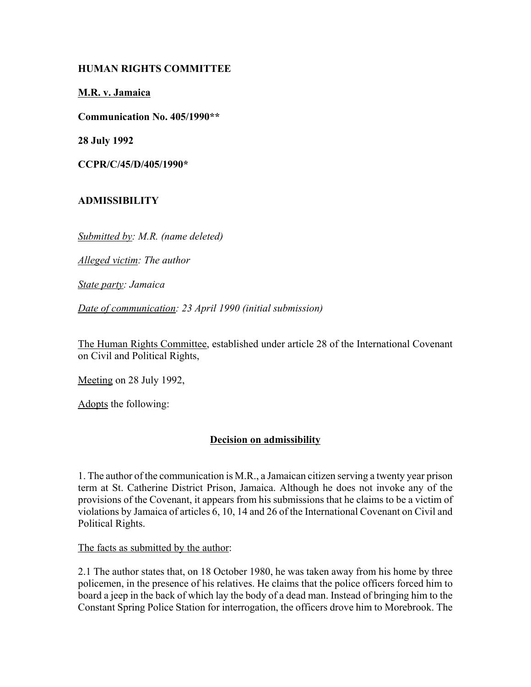# **HUMAN RIGHTS COMMITTEE**

### **M.R. v. Jamaica**

**Communication No. 405/1990\*\***

**28 July 1992**

**CCPR/C/45/D/405/1990\***

# **ADMISSIBILITY**

*Submitted by: M.R. (name deleted)*

*Alleged victim: The author*

*State party: Jamaica*

*Date of communication: 23 April 1990 (initial submission)* 

The Human Rights Committee, established under article 28 of the International Covenant on Civil and Political Rights,

Meeting on 28 July 1992,

Adopts the following:

# **Decision on admissibility**

1. The author of the communication is M.R., a Jamaican citizen serving a twenty year prison term at St. Catherine District Prison, Jamaica. Although he does not invoke any of the provisions of the Covenant, it appears from his submissions that he claims to be a victim of violations by Jamaica of articles 6, 10, 14 and 26 of the International Covenant on Civil and Political Rights.

The facts as submitted by the author:

2.1 The author states that, on 18 October 1980, he was taken away from his home by three policemen, in the presence of his relatives. He claims that the police officers forced him to board a jeep in the back of which lay the body of a dead man. Instead of bringing him to the Constant Spring Police Station for interrogation, the officers drove him to Morebrook. The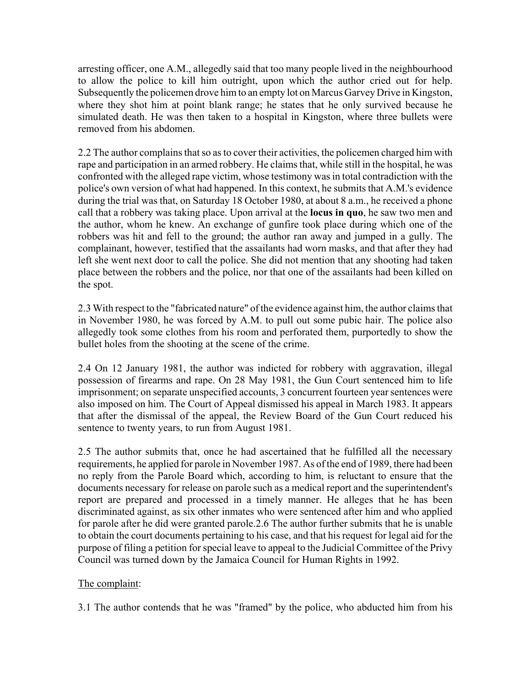arresting officer, one A.M., allegedly said that too many people lived in the neighbourhood to allow the police to kill him outright, upon which the author cried out for help. Subsequently the policemen drove him to an empty lot on Marcus Garvey Drive in Kingston, where they shot him at point blank range; he states that he only survived because he simulated death. He was then taken to a hospital in Kingston, where three bullets were removed from his abdomen.

2.2 The author complains that so as to cover their activities, the policemen charged him with rape and participation in an armed robbery. He claims that, while still in the hospital, he was confronted with the alleged rape victim, whose testimony was in total contradiction with the police's own version of what had happened. In this context, he submits that A.M.'s evidence during the trial was that, on Saturday 18 October 1980, at about 8 a.m., he received a phone call that a robbery was taking place. Upon arrival at the **locus in quo**, he saw two men and the author, whom he knew. An exchange of gunfire took place during which one of the robbers was hit and fell to the ground; the author ran away and jumped in a gully. The complainant, however, testified that the assailants had worn masks, and that after they had left she went next door to call the police. She did not mention that any shooting had taken place between the robbers and the police, nor that one of the assailants had been killed on the spot.

2.3 With respect to the "fabricated nature" of the evidence against him, the author claims that in November 1980, he was forced by A.M. to pull out some pubic hair. The police also allegedly took some clothes from his room and perforated them, purportedly to show the bullet holes from the shooting at the scene of the crime.

2.4 On 12 January 1981, the author was indicted for robbery with aggravation, illegal possession of firearms and rape. On 28 May 1981, the Gun Court sentenced him to life imprisonment; on separate unspecified accounts, 3 concurrent fourteen year sentences were also imposed on him. The Court of Appeal dismissed his appeal in March 1983. It appears that after the dismissal of the appeal, the Review Board of the Gun Court reduced his sentence to twenty years, to run from August 1981.

2.5 The author submits that, once he had ascertained that he fulfilled all the necessary requirements, he applied for parole in November 1987. As of the end of 1989, there had been no reply from the Parole Board which, according to him, is reluctant to ensure that the documents necessary for release on parole such as a medical report and the superintendent's report are prepared and processed in a timely manner. He alleges that he has been discriminated against, as six other inmates who were sentenced after him and who applied for parole after he did were granted parole.2.6 The author further submits that he is unable to obtain the court documents pertaining to his case, and that his request for legal aid for the purpose of filing a petition for special leave to appeal to the Judicial Committee of the Privy Council was turned down by the Jamaica Council for Human Rights in 1992.

# The complaint:

3.1 The author contends that he was "framed" by the police, who abducted him from his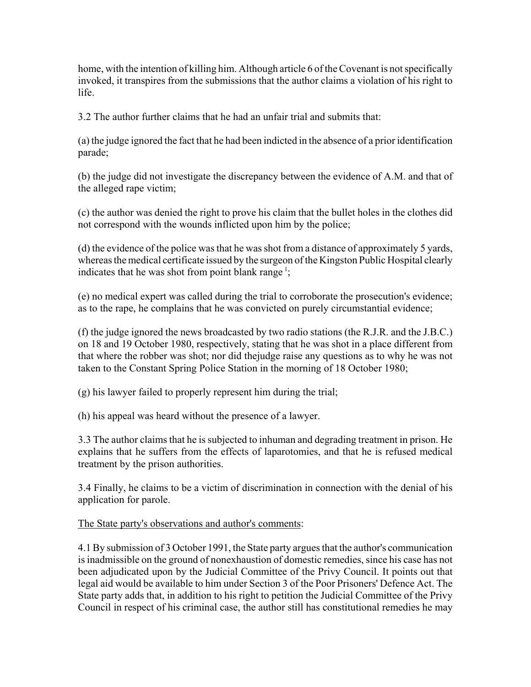home, with the intention of killing him. Although article 6 of the Covenant is not specifically invoked, it transpires from the submissions that the author claims a violation of his right to life.

3.2 The author further claims that he had an unfair trial and submits that:

(a) the judge ignored the fact that he had been indicted in the absence of a prior identification parade;

(b) the judge did not investigate the discrepancy between the evidence of A.M. and that of the alleged rape victim;

(c) the author was denied the right to prove his claim that the bullet holes in the clothes did not correspond with the wounds inflicted upon him by the police;

(d) the evidence of the police was that he was shot from a distance of approximately 5 yards, whereas the medical certificate issued by the surgeon of the Kingston Public Hospital clearly indicates that he was shot from point blank range<sup>1</sup>;

(e) no medical expert was called during the trial to corroborate the prosecution's evidence; as to the rape, he complains that he was convicted on purely circumstantial evidence;

(f) the judge ignored the news broadcasted by two radio stations (the R.J.R. and the J.B.C.) on 18 and 19 October 1980, respectively, stating that he was shot in a place different from that where the robber was shot; nor did thejudge raise any questions as to why he was not taken to the Constant Spring Police Station in the morning of 18 October 1980;

(g) his lawyer failed to properly represent him during the trial;

(h) his appeal was heard without the presence of a lawyer.

3.3 The author claims that he is subjected to inhuman and degrading treatment in prison. He explains that he suffers from the effects of laparotomies, and that he is refused medical treatment by the prison authorities.

3.4 Finally, he claims to be a victim of discrimination in connection with the denial of his application for parole.

# The State party's observations and author's comments:

4.1 By submission of 3 October 1991, the State party argues that the author's communication is inadmissible on the ground of nonexhaustion of domestic remedies, since his case has not been adjudicated upon by the Judicial Committee of the Privy Council. It points out that legal aid would be available to him under Section 3 of the Poor Prisoners' Defence Act. The State party adds that, in addition to his right to petition the Judicial Committee of the Privy Council in respect of his criminal case, the author still has constitutional remedies he may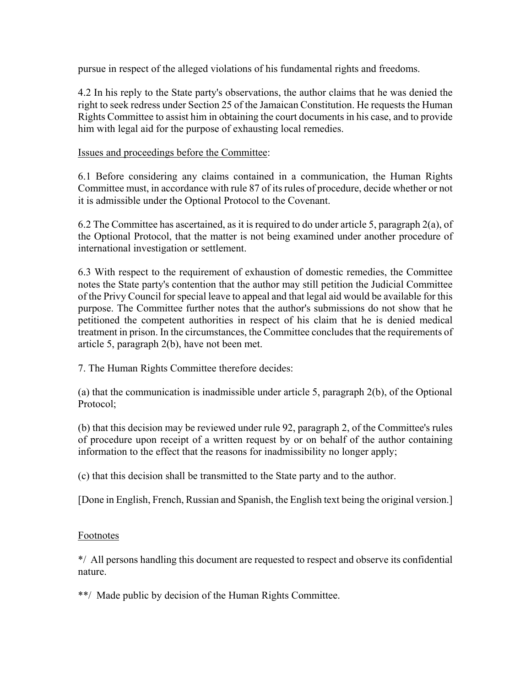pursue in respect of the alleged violations of his fundamental rights and freedoms.

4.2 In his reply to the State party's observations, the author claims that he was denied the right to seek redress under Section 25 of the Jamaican Constitution. He requests the Human Rights Committee to assist him in obtaining the court documents in his case, and to provide him with legal aid for the purpose of exhausting local remedies.

Issues and proceedings before the Committee:

6.1 Before considering any claims contained in a communication, the Human Rights Committee must, in accordance with rule 87 of its rules of procedure, decide whether or not it is admissible under the Optional Protocol to the Covenant.

6.2 The Committee has ascertained, as it is required to do under article 5, paragraph 2(a), of the Optional Protocol, that the matter is not being examined under another procedure of international investigation or settlement.

6.3 With respect to the requirement of exhaustion of domestic remedies, the Committee notes the State party's contention that the author may still petition the Judicial Committee of the Privy Council for special leave to appeal and that legal aid would be available for this purpose. The Committee further notes that the author's submissions do not show that he petitioned the competent authorities in respect of his claim that he is denied medical treatment in prison. In the circumstances, the Committee concludes that the requirements of article 5, paragraph 2(b), have not been met.

7. The Human Rights Committee therefore decides:

(a) that the communication is inadmissible under article 5, paragraph 2(b), of the Optional Protocol;

(b) that this decision may be reviewed under rule 92, paragraph 2, of the Committee's rules of procedure upon receipt of a written request by or on behalf of the author containing information to the effect that the reasons for inadmissibility no longer apply;

(c) that this decision shall be transmitted to the State party and to the author.

[Done in English, French, Russian and Spanish, the English text being the original version.]

# Footnotes

\*/ All persons handling this document are requested to respect and observe its confidential nature.

\*\*/ Made public by decision of the Human Rights Committee.